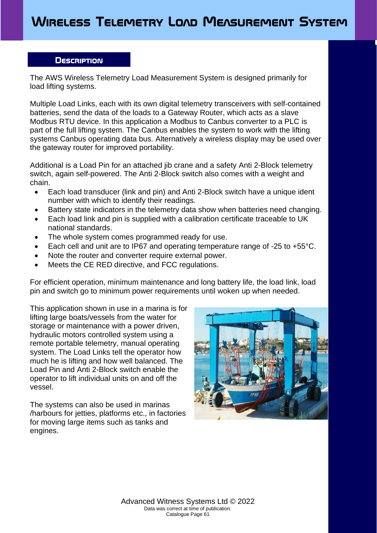### **Description**

The AWS Wireless Telemetry Load Measurement System is designed primarily for load lifting systems.

Multiple Load Links, each with its own digital telemetry transceivers with self-contained batteries, send the data of the loads to a Gateway Router, which acts as a slave Modbus RTU device. In this application a Modbus to Canbus converter to a PLC is part of the full lifting system. The Canbus enables the system to work with the lifting systems Canbus operating data bus. Alternatively a wireless display may be used over the gateway router for improved portability.

Additional is a Load Pin for an attached jib crane and a safety Anti 2-Block telemetry switch, again self-powered. The Anti 2-Block switch also comes with a weight and chain.

- Each load transducer (link and pin) and Anti 2-Block switch have a unique ident number with which to identify their readings.
- Battery state indicators in the telemetry data show when batteries need changing.
- Each load link and pin is supplied with a calibration certificate traceable to UK national standards.
- The whole system comes programmed ready for use.
- Each cell and unit are to IP67 and operating temperature range of -25 to +55°C.
- Note the router and converter require external power.
- Meets the CE RED directive, and FCC regulations.

For efficient operation, minimum maintenance and long battery life, the load link, load pin and switch go to minimum power requirements until woken up when needed.

This application shown in use in a marina is for lifting large boats/vessels from the water for storage or maintenance with a power driven, hydraulic motors controlled system using a remote portable telemetry, manual operating system. The Load Links tell the operator how much he is lifting and how well balanced. The Load Pin and Anti 2-Block switch enable the operator to lift individual units on and off the vessel.

The systems can also be used in marinas /harbours for jetties, platforms etc., in factories for moving large items such as tanks and engines.



Advanced Witness Systems Ltd © 2022 Data was correct at time of publication. Catalogue Page 61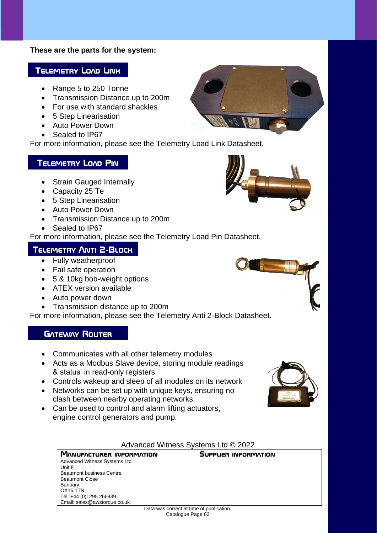#### **These are the parts for the system:**

#### **Telemetry Load Link**

- Range 5 to 250 Tonne
- Transmission Distance up to 200m
- For use with standard shackles
- 5 Step Linearisation
- Auto Power Down
- Sealed to IP67

For more information, please see the Telemetry Load Link Datasheet.

### **Telemetry Load Pin**

- Strain Gauged Internally
- Capacity 25 Te
- 5 Step Linearisation
- Auto Power Down
- Transmission Distance up to 200m
- Sealed to IP67

For more information, please see the Telemetry Load Pin Datasheet.

### **Telemetry Anti 2-Block**

- Fully weatherproof
- Fail safe operation
- 5 & 10kg bob-weight options
- ATEX version available
- Auto power down
- Transmission distance up to 200m

For more information, please see the Telemetry Anti 2-Block Datasheet.

### **GATEWAY ROUTER**

- Communicates with all other telemetry modules
- Acts as a Modbus Slave device, storing module readings & status' in read-only registers
- Controls wakeup and sleep of all modules on its network
- Networks can be set up with unique keys, ensuring no clash between nearby operating networks.
- Can be used to control and alarm lifting actuators, engine control generators and pump.

#### Advanced Witness Systems Ltd © 2022

**Supplier information**

| <b>MANUFACTURER INFORMATION</b> |
|---------------------------------|
| Advanced Witness Systems Ltd    |
| Unit 8                          |
| <b>Beaumont business Centre</b> |
| <b>Beaumont Close</b>           |
| <b>Banbury</b>                  |
| <b>OX16 1TN</b>                 |
| Tel: +44 (0)1295 266939         |
| Email: sales@awstorque.co.uk    |